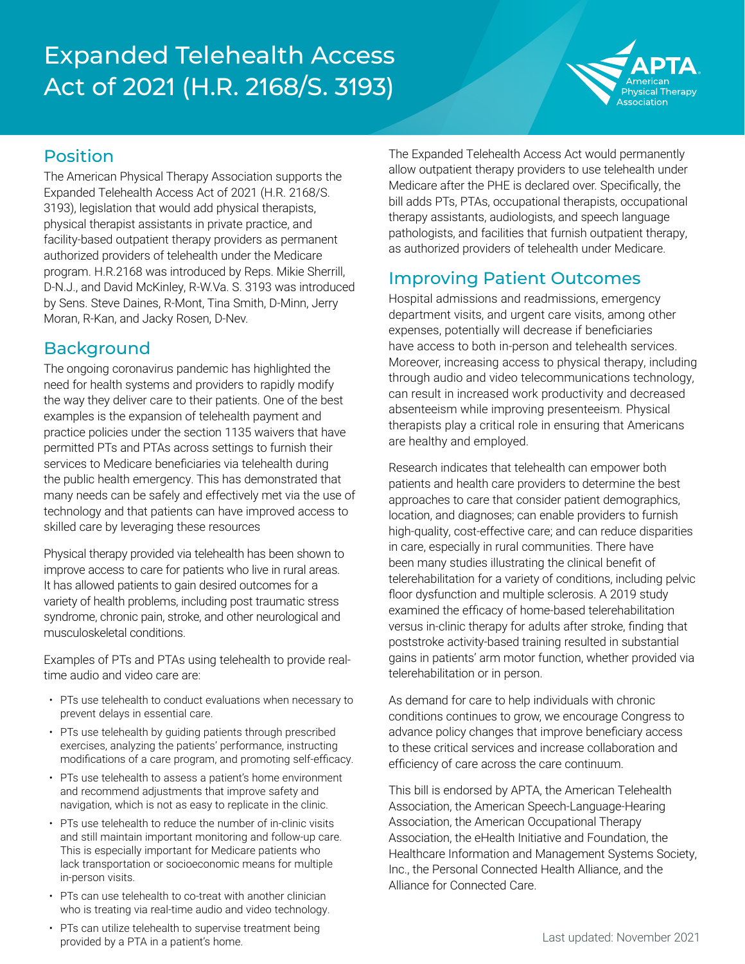# Expanded Telehealth Access Act of 2021 (H.R. 2168/S. 3193)



#### Position

The American Physical Therapy Association supports the Expanded Telehealth Access Act of 2021 (H.R. 2168/S. 3193), legislation that would add physical therapists, physical therapist assistants in private practice, and facility-based outpatient therapy providers as permanent authorized providers of telehealth under the Medicare program. H.R.2168 was introduced by Reps. Mikie Sherrill, D-N.J., and David McKinley, R-W.Va. S. 3193 was introduced by Sens. Steve Daines, R-Mont, Tina Smith, D-Minn, Jerry Moran, R-Kan, and Jacky Rosen, D-Nev.

#### **Background**

The ongoing coronavirus pandemic has highlighted the need for health systems and providers to rapidly modify the way they deliver care to their patients. One of the best examples is the expansion of telehealth payment and practice policies under the section 1135 waivers that have permitted PTs and PTAs across settings to furnish their services to Medicare beneficiaries via telehealth during the public health emergency. This has demonstrated that many needs can be safely and effectively met via the use of technology and that patients can have improved access to skilled care by leveraging these resources

Physical therapy provided via telehealth has been shown to improve access to care for patients who live in rural areas. It has allowed patients to gain desired outcomes for a variety of health problems, including post traumatic stress syndrome, chronic pain, stroke, and other neurological and musculoskeletal conditions.

Examples of PTs and PTAs using telehealth to provide realtime audio and video care are:

- PTs use telehealth to conduct evaluations when necessary to prevent delays in essential care.
- PTs use telehealth by guiding patients through prescribed exercises, analyzing the patients' performance, instructing modifications of a care program, and promoting self-efficacy.
- PTs use telehealth to assess a patient's home environment and recommend adjustments that improve safety and navigation, which is not as easy to replicate in the clinic.
- PTs use telehealth to reduce the number of in-clinic visits and still maintain important monitoring and follow-up care. This is especially important for Medicare patients who lack transportation or socioeconomic means for multiple in-person visits.
- PTs can use telehealth to co-treat with another clinician who is treating via real-time audio and video technology.
- PTs can utilize telehealth to supervise treatment being provided by a PTA in a patient's home.

The Expanded Telehealth Access Act would permanently allow outpatient therapy providers to use telehealth under Medicare after the PHE is declared over. Specifically, the bill adds PTs, PTAs, occupational therapists, occupational therapy assistants, audiologists, and speech language pathologists, and facilities that furnish outpatient therapy, as authorized providers of telehealth under Medicare.

#### Improving Patient Outcomes

Hospital admissions and readmissions, emergency department visits, and urgent care visits, among other expenses, potentially will decrease if beneficiaries have access to both in-person and telehealth services. Moreover, increasing access to physical therapy, including through audio and video telecommunications technology, can result in increased work productivity and decreased absenteeism while improving presenteeism. Physical therapists play a critical role in ensuring that Americans are healthy and employed.

Research indicates that telehealth can empower both patients and health care providers to determine the best approaches to care that consider patient demographics, location, and diagnoses; can enable providers to furnish high-quality, cost-effective care; and can reduce disparities in care, especially in rural communities. There have been many studies illustrating the clinical benefit of telerehabilitation for a variety of conditions, including pelvic floor dysfunction and multiple sclerosis. A 2019 study examined the efficacy of home-based telerehabilitation versus in-clinic therapy for adults after stroke, finding that poststroke activity-based training resulted in substantial gains in patients' arm motor function, whether provided via telerehabilitation or in person.

As demand for care to help individuals with chronic conditions continues to grow, we encourage Congress to advance policy changes that improve beneficiary access to these critical services and increase collaboration and efficiency of care across the care continuum.

This bill is endorsed by APTA, the American Telehealth Association, the American Speech-Language-Hearing Association, the American Occupational Therapy Association, the eHealth Initiative and Foundation, the Healthcare Information and Management Systems Society, Inc., the Personal Connected Health Alliance, and the Alliance for Connected Care.